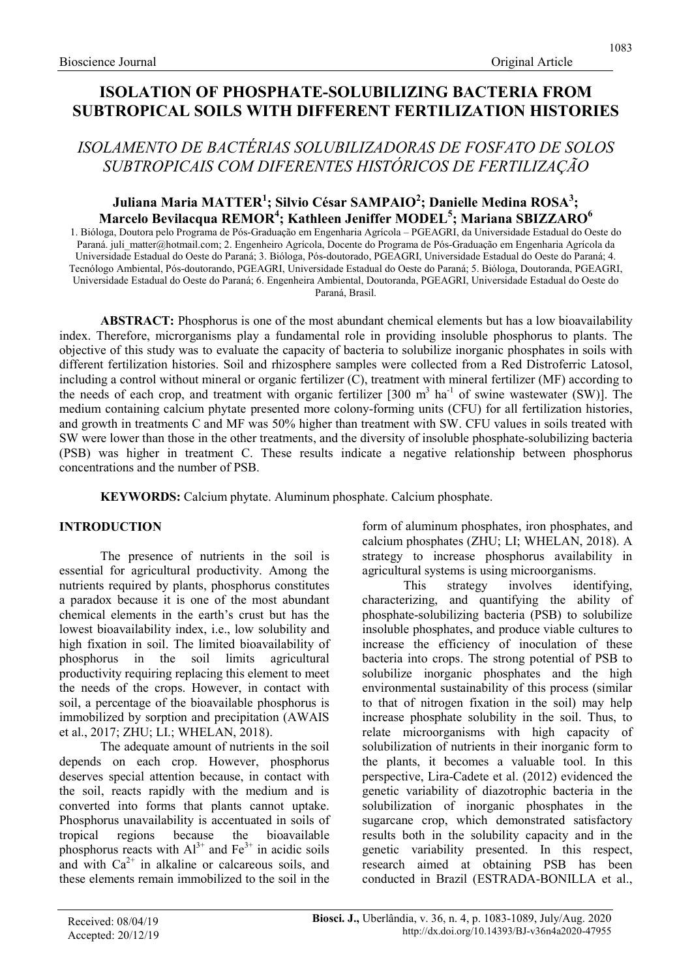# ISOLATION OF PHOSPHATE-SOLUBILIZING BACTERIA FROM SUBTROPICAL SOILS WITH DIFFERENT FERTILIZATION HISTORIES

# ISOLAMENTO DE BACTÉRIAS SOLUBILIZADORAS DE FOSFATO DE SOLOS SUBTROPICAIS COM DIFERENTES HISTÓRICOS DE FERTILIZAÇÃO

# Juliana Maria MATTER<sup>1</sup>; Silvio César SAMPAIO<sup>2</sup>; Danielle Medina ROSA<sup>3</sup>; Marcelo Bevilacqua REMOR<sup>4</sup>; Kathleen Jeniffer MODEL<sup>5</sup>; Mariana SBIZZARO<sup>6</sup>

1. Bióloga, Doutora pelo Programa de Pós-Graduação em Engenharia Agrícola – PGEAGRI, da Universidade Estadual do Oeste do Paraná. juli matter@hotmail.com; 2. Engenheiro Agrícola, Docente do Programa de Pós-Graduação em Engenharia Agrícola da Universidade Estadual do Oeste do Paraná; 3. Bióloga, Pós-doutorado, PGEAGRI, Universidade Estadual do Oeste do Paraná; 4. Tecnólogo Ambiental, Pós-doutorando, PGEAGRI, Universidade Estadual do Oeste do Paraná; 5. Bióloga, Doutoranda, PGEAGRI, Universidade Estadual do Oeste do Paraná; 6. Engenheira Ambiental, Doutoranda, PGEAGRI, Universidade Estadual do Oeste do Paraná, Brasil.

ABSTRACT: Phosphorus is one of the most abundant chemical elements but has a low bioavailability index. Therefore, microrganisms play a fundamental role in providing insoluble phosphorus to plants. The objective of this study was to evaluate the capacity of bacteria to solubilize inorganic phosphates in soils with different fertilization histories. Soil and rhizosphere samples were collected from a Red Distroferric Latosol, including a control without mineral or organic fertilizer (C), treatment with mineral fertilizer (MF) according to the needs of each crop, and treatment with organic fertilizer  $[300 \text{ m}^3 \text{ ha}^{-1}$  of swine wastewater (SW)]. The medium containing calcium phytate presented more colony-forming units (CFU) for all fertilization histories, and growth in treatments C and MF was 50% higher than treatment with SW. CFU values in soils treated with SW were lower than those in the other treatments, and the diversity of insoluble phosphate-solubilizing bacteria (PSB) was higher in treatment C. These results indicate a negative relationship between phosphorus concentrations and the number of PSB.

KEYWORDS: Calcium phytate. Aluminum phosphate. Calcium phosphate.

# INTRODUCTION

The presence of nutrients in the soil is essential for agricultural productivity. Among the nutrients required by plants, phosphorus constitutes a paradox because it is one of the most abundant chemical elements in the earth's crust but has the lowest bioavailability index, i.e., low solubility and high fixation in soil. The limited bioavailability of phosphorus in the soil limits agricultural productivity requiring replacing this element to meet the needs of the crops. However, in contact with soil, a percentage of the bioavailable phosphorus is immobilized by sorption and precipitation (AWAIS et al., 2017; ZHU; LI.; WHELAN, 2018).

The adequate amount of nutrients in the soil depends on each crop. However, phosphorus deserves special attention because, in contact with the soil, reacts rapidly with the medium and is converted into forms that plants cannot uptake. Phosphorus unavailability is accentuated in soils of tropical regions because the bioavailable phosphorus reacts with  $Al^{3+}$  and  $Fe^{3+}$  in acidic soils and with  $Ca^{2+}$  in alkaline or calcareous soils, and these elements remain immobilized to the soil in the form of aluminum phosphates, iron phosphates, and calcium phosphates (ZHU; LI; WHELAN, 2018). A strategy to increase phosphorus availability in agricultural systems is using microorganisms.

This strategy involves identifying, characterizing, and quantifying the ability of phosphate-solubilizing bacteria (PSB) to solubilize insoluble phosphates, and produce viable cultures to increase the efficiency of inoculation of these bacteria into crops. The strong potential of PSB to solubilize inorganic phosphates and the high environmental sustainability of this process (similar to that of nitrogen fixation in the soil) may help increase phosphate solubility in the soil. Thus, to relate microorganisms with high capacity of solubilization of nutrients in their inorganic form to the plants, it becomes a valuable tool. In this perspective, Lira-Cadete et al. (2012) evidenced the genetic variability of diazotrophic bacteria in the solubilization of inorganic phosphates in the sugarcane crop, which demonstrated satisfactory results both in the solubility capacity and in the genetic variability presented. In this respect, research aimed at obtaining PSB has been conducted in Brazil (ESTRADA-BONILLA et al.,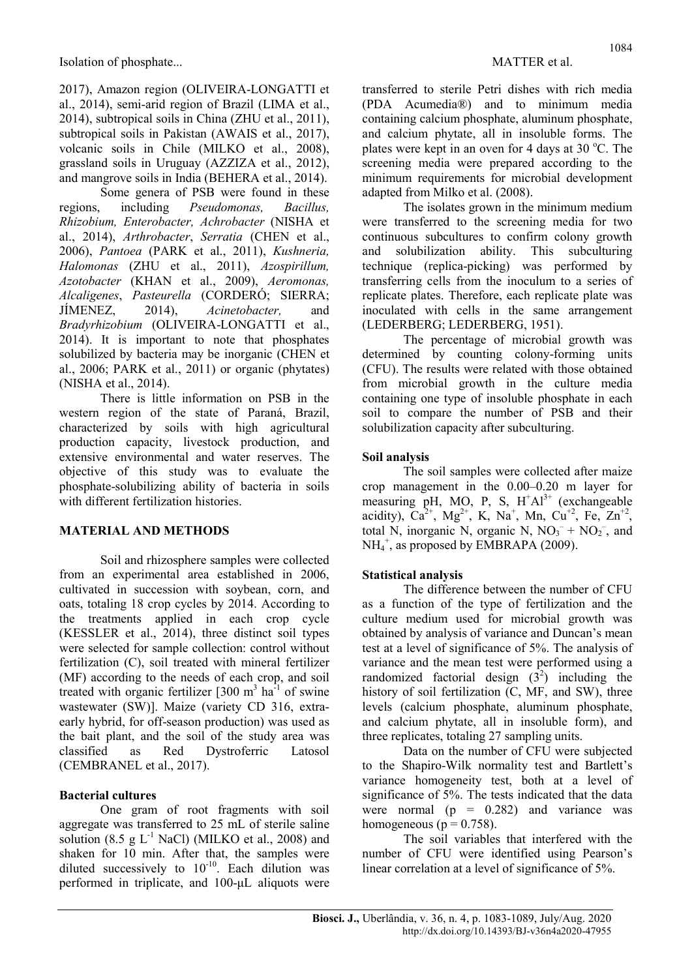2017), Amazon region (OLIVEIRA-LONGATTI et al., 2014), semi-arid region of Brazil (LIMA et al., 2014), subtropical soils in China (ZHU et al., 2011), subtropical soils in Pakistan (AWAIS et al., 2017), volcanic soils in Chile (MILKO et al., 2008), grassland soils in Uruguay (AZZIZA et al., 2012), and mangrove soils in India (BEHERA et al., 2014).

Some genera of PSB were found in these regions, including Pseudomonas, Bacillus, Rhizobium, Enterobacter, Achrobacter (NISHA et al., 2014), Arthrobacter, Serratia (CHEN et al., 2006), Pantoea (PARK et al., 2011), Kushneria, Halomonas (ZHU et al., 2011), Azospirillum, Azotobacter (KHAN et al., 2009), Aeromonas, Alcaligenes, Pasteurella (CORDERÓ; SIERRA; JÍMENEZ, 2014), Acinetobacter, and Bradyrhizobium (OLIVEIRA-LONGATTI et al., 2014). It is important to note that phosphates solubilized by bacteria may be inorganic (CHEN et al., 2006; PARK et al., 2011) or organic (phytates) (NISHA et al., 2014).

There is little information on PSB in the western region of the state of Paraná, Brazil, characterized by soils with high agricultural production capacity, livestock production, and extensive environmental and water reserves. The objective of this study was to evaluate the phosphate-solubilizing ability of bacteria in soils with different fertilization histories.

# MATERIAL AND METHODS

Soil and rhizosphere samples were collected from an experimental area established in 2006, cultivated in succession with soybean, corn, and oats, totaling 18 crop cycles by 2014. According to the treatments applied in each crop cycle (KESSLER et al., 2014), three distinct soil types were selected for sample collection: control without fertilization (C), soil treated with mineral fertilizer (MF) according to the needs of each crop, and soil treated with organic fertilizer  $[300 \text{ m}^3 \text{ ha}^{-1}]$  of swine wastewater (SW)]. Maize (variety CD 316, extraearly hybrid, for off-season production) was used as the bait plant, and the soil of the study area was classified as Red Dystroferric Latosol (CEMBRANEL et al., 2017).

# Bacterial cultures

One gram of root fragments with soil aggregate was transferred to 25 mL of sterile saline solution (8.5 g  $L^{-1}$  NaCl) (MILKO et al., 2008) and shaken for 10 min. After that, the samples were diluted successively to  $10^{-10}$ . Each dilution was performed in triplicate, and 100-μL aliquots were 1084

transferred to sterile Petri dishes with rich media (PDA Acumedia®) and to minimum media containing calcium phosphate, aluminum phosphate, and calcium phytate, all in insoluble forms. The plates were kept in an oven for 4 days at 30  $^{\circ}$ C. The screening media were prepared according to the minimum requirements for microbial development adapted from Milko et al. (2008).

The isolates grown in the minimum medium were transferred to the screening media for two continuous subcultures to confirm colony growth and solubilization ability. This subculturing technique (replica-picking) was performed by transferring cells from the inoculum to a series of replicate plates. Therefore, each replicate plate was inoculated with cells in the same arrangement (LEDERBERG; LEDERBERG, 1951).

The percentage of microbial growth was determined by counting colony-forming units (CFU). The results were related with those obtained from microbial growth in the culture media containing one type of insoluble phosphate in each soil to compare the number of PSB and their solubilization capacity after subculturing.

### Soil analysis

The soil samples were collected after maize crop management in the 0.00–0.20 m layer for measuring pH, MO, P, S,  $H^+Al^{3+}$  (exchangeable acidity),  $Ca^{2+}$ , Mg<sup>2+</sup>, K, Na<sup>+</sup>, Mn, Cu<sup>+2</sup>, Fe, Zn<sup>+2</sup>, total N, inorganic N, organic N,  $NO<sub>3</sub><sup>-</sup> + NO<sub>2</sub><sup>-</sup>$ , and NH<sub>4</sub><sup>+</sup>, as proposed by EMBRAPA (2009).

# Statistical analysis

The difference between the number of CFU as a function of the type of fertilization and the culture medium used for microbial growth was obtained by analysis of variance and Duncan's mean test at a level of significance of 5%. The analysis of variance and the mean test were performed using a randomized factorial design  $(3^2)$  including the history of soil fertilization (C, MF, and SW), three levels (calcium phosphate, aluminum phosphate, and calcium phytate, all in insoluble form), and three replicates, totaling 27 sampling units.

Data on the number of CFU were subjected to the Shapiro-Wilk normality test and Bartlett's variance homogeneity test, both at a level of significance of 5%. The tests indicated that the data were normal  $(p = 0.282)$  and variance was homogeneous ( $p = 0.758$ ).

The soil variables that interfered with the number of CFU were identified using Pearson's linear correlation at a level of significance of 5%.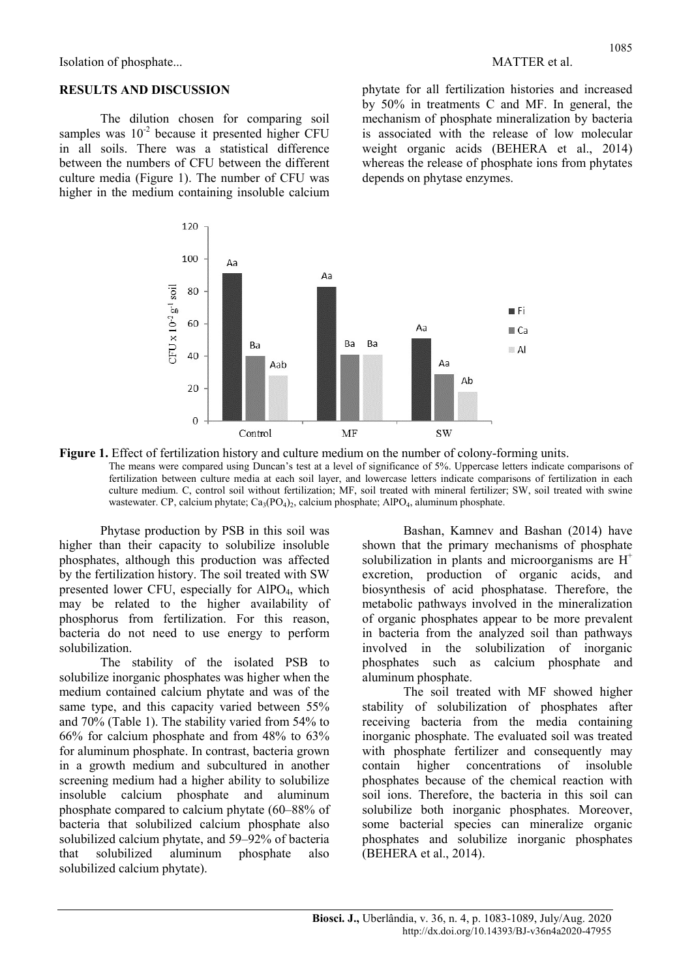Isolation of phosphate... MATTER et al.

#### RESULTS AND DISCUSSION

The dilution chosen for comparing soil samples was  $10^{-2}$  because it presented higher CFU in all soils. There was a statistical difference between the numbers of CFU between the different culture media (Figure 1). The number of CFU was higher in the medium containing insoluble calcium phytate for all fertilization histories and increased by 50% in treatments C and MF. In general, the mechanism of phosphate mineralization by bacteria is associated with the release of low molecular weight organic acids (BEHERA et al., 2014) whereas the release of phosphate ions from phytates depends on phytase enzymes.



Figure 1. Effect of fertilization history and culture medium on the number of colony-forming units. The means were compared using Duncan's test at a level of significance of 5%. Uppercase letters indicate comparisons of fertilization between culture media at each soil layer, and lowercase letters indicate comparisons of fertilization in each culture medium. C, control soil without fertilization; MF, soil treated with mineral fertilizer; SW, soil treated with swine wastewater. CP, calcium phytate; Ca<sub>3</sub>(PO<sub>4</sub>)<sub>2</sub>, calcium phosphate; AlPO<sub>4</sub>, aluminum phosphate.

Phytase production by PSB in this soil was higher than their capacity to solubilize insoluble phosphates, although this production was affected by the fertilization history. The soil treated with SW presented lower CFU, especially for  $AIPO<sub>4</sub>$ , which may be related to the higher availability of phosphorus from fertilization. For this reason, bacteria do not need to use energy to perform solubilization.

The stability of the isolated PSB to solubilize inorganic phosphates was higher when the medium contained calcium phytate and was of the same type, and this capacity varied between 55% and 70% (Table 1). The stability varied from 54% to 66% for calcium phosphate and from 48% to 63% for aluminum phosphate. In contrast, bacteria grown in a growth medium and subcultured in another screening medium had a higher ability to solubilize insoluble calcium phosphate and aluminum phosphate compared to calcium phytate (60–88% of bacteria that solubilized calcium phosphate also solubilized calcium phytate, and 59–92% of bacteria that solubilized aluminum phosphate also solubilized calcium phytate).

Bashan, Kamnev and Bashan (2014) have shown that the primary mechanisms of phosphate solubilization in plants and microorganisms are  $H^+$ excretion, production of organic acids, and biosynthesis of acid phosphatase. Therefore, the metabolic pathways involved in the mineralization of organic phosphates appear to be more prevalent in bacteria from the analyzed soil than pathways involved in the solubilization of inorganic phosphates such as calcium phosphate and aluminum phosphate.

The soil treated with MF showed higher stability of solubilization of phosphates after receiving bacteria from the media containing inorganic phosphate. The evaluated soil was treated with phosphate fertilizer and consequently may contain higher concentrations of insoluble phosphates because of the chemical reaction with soil ions. Therefore, the bacteria in this soil can solubilize both inorganic phosphates. Moreover, some bacterial species can mineralize organic phosphates and solubilize inorganic phosphates (BEHERA et al., 2014).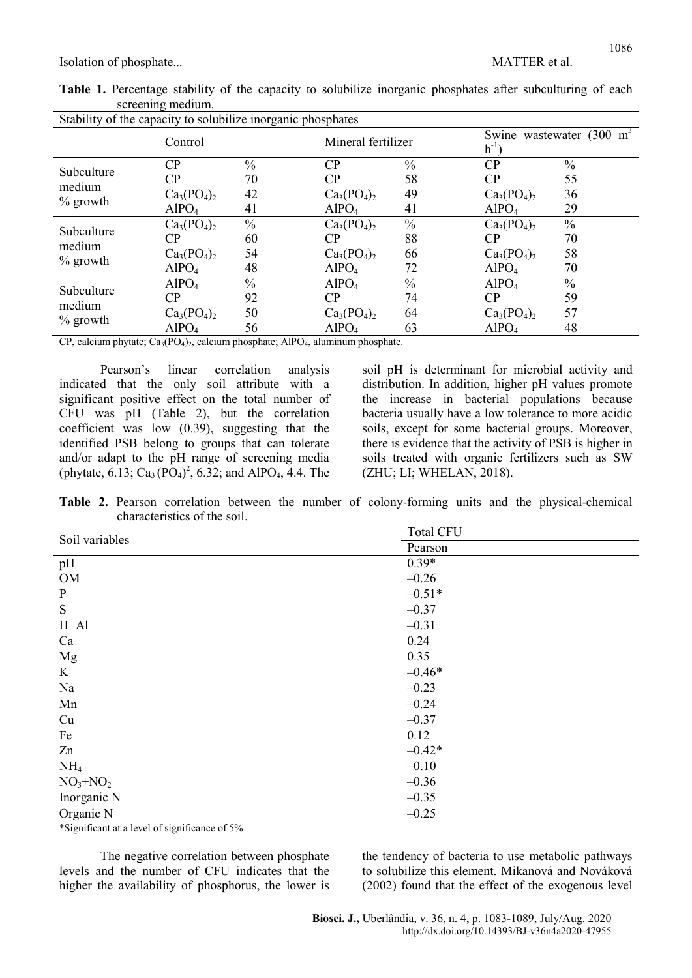Isolation of phosphate... MATTER et al.

|  |                   |  |  |  |  | Table 1. Percentage stability of the capacity to solubilize inorganic phosphates after subculturing of each |  |
|--|-------------------|--|--|--|--|-------------------------------------------------------------------------------------------------------------|--|
|  | screening medium. |  |  |  |  |                                                                                                             |  |

| Stability of the capacity to solubilize inorganic phosphates |                   |               |                    |               |                                                  |               |  |  |  |
|--------------------------------------------------------------|-------------------|---------------|--------------------|---------------|--------------------------------------------------|---------------|--|--|--|
|                                                              | Control           |               | Mineral fertilizer |               | Swine wastewater $(300 \text{ m}^3)$<br>$h^{-1}$ |               |  |  |  |
| Subculture                                                   | CP                | $\frac{0}{0}$ | CP                 | $\frac{0}{0}$ | CP                                               | $\frac{0}{0}$ |  |  |  |
| medium                                                       | CP                | 70            | CP                 | 58            | CP                                               | 55            |  |  |  |
|                                                              | $Ca_3(PO_4)_2$    | 42            | $Ca_3(PO_4)_2$     | 49            | $Ca_3(PO_4)_2$                                   | 36            |  |  |  |
| $\%$ growth                                                  | AlPO <sub>4</sub> | 41            | AlPO <sub>4</sub>  | 41            | AlPO <sub>4</sub>                                | 29            |  |  |  |
| Subculture                                                   | $Ca_3(PO_4)_2$    | $\frac{0}{0}$ | $Ca3(PO4)2$        | $\frac{0}{0}$ | $Ca_3(PO_4)_2$                                   | $\frac{0}{0}$ |  |  |  |
| medium                                                       | CP                | 60            | CP                 | 88            | CP                                               | 70            |  |  |  |
|                                                              | $Ca_3(PO_4)_2$    | 54            | $Ca_3(PO_4)_2$     | 66            | $Ca_3(PO_4)_2$                                   | 58            |  |  |  |
| $\%$ growth                                                  | AlPO <sub>4</sub> | 48            | AlPO <sub>4</sub>  | 72            | AlPO <sub>4</sub>                                | 70            |  |  |  |
| Subculture                                                   | AlPO <sub>4</sub> | $\frac{0}{0}$ | AlPO <sub>4</sub>  | $\frac{0}{0}$ | AlPO <sub>4</sub>                                | $\frac{0}{0}$ |  |  |  |
| medium                                                       | CP                | 92            | CP                 | 74            | CP                                               | 59            |  |  |  |
|                                                              | $Ca_3(PO_4)_2$    | 50            | $Ca_3(PO_4)_2$     | 64            | $Ca_3(PO_4)_2$                                   | 57            |  |  |  |
| $%$ growth                                                   | AlPO <sub>4</sub> | 56            | AlPO <sub>4</sub>  | 63            | AlPO <sub>4</sub>                                | 48            |  |  |  |

CP, calcium phytate;  $Ca_3(PO_4)_2$ , calcium phosphate; AlPO<sub>4</sub>, aluminum phosphate.

Pearson's linear correlation analysis indicated that the only soil attribute with a significant positive effect on the total number of CFU was pH (Table 2), but the correlation coefficient was low (0.39), suggesting that the identified PSB belong to groups that can tolerate and/or adapt to the pH range of screening media (phytate,  $6.\overline{13}$ ; Ca<sub>3</sub> (PO<sub>4</sub>)<sup>2</sup>, 6.32; and AlPO<sub>4</sub>, 4.4. The soil pH is determinant for microbial activity and distribution. In addition, higher pH values promote the increase in bacterial populations because bacteria usually have a low tolerance to more acidic soils, except for some bacterial groups. Moreover, there is evidence that the activity of PSB is higher in soils treated with organic fertilizers such as SW (ZHU; LI; WHELAN, 2018).

Table 2. Pearson correlation between the number of colony-forming units and the physical-chemical characteristics of the soil.

| Soil variables                                                    | <b>Total CFU</b> |
|-------------------------------------------------------------------|------------------|
|                                                                   | Pearson          |
| pH                                                                | $0.39*$          |
| OM                                                                | $-0.26$          |
| $\mathbf{P}$                                                      | $-0.51*$         |
| ${\bf S}$                                                         | $-0.37$          |
| $H+A1$                                                            | $-0.31$          |
| Ca                                                                | 0.24             |
| Mg                                                                | 0.35             |
| $\bf K$                                                           | $-0.46*$         |
| Na                                                                | $-0.23$          |
| Mn                                                                | $-0.24$          |
| Cu                                                                | $-0.37$          |
| Fe                                                                | 0.12             |
| Zn                                                                | $-0.42*$         |
| NH <sub>4</sub>                                                   | $-0.10$          |
| $NO3+NO2$                                                         | $-0.36$          |
| Inorganic N                                                       | $-0.35$          |
| Organic N<br>$\sim$<br>$\cdots$<br>$\sim$ $\sim$ $\sim$<br>$\sim$ | $-0.25$          |

\*Significant at a level of significance of 5%

The negative correlation between phosphate levels and the number of CFU indicates that the higher the availability of phosphorus, the lower is the tendency of bacteria to use metabolic pathways to solubilize this element. Mikanová and Nováková (2002) found that the effect of the exogenous level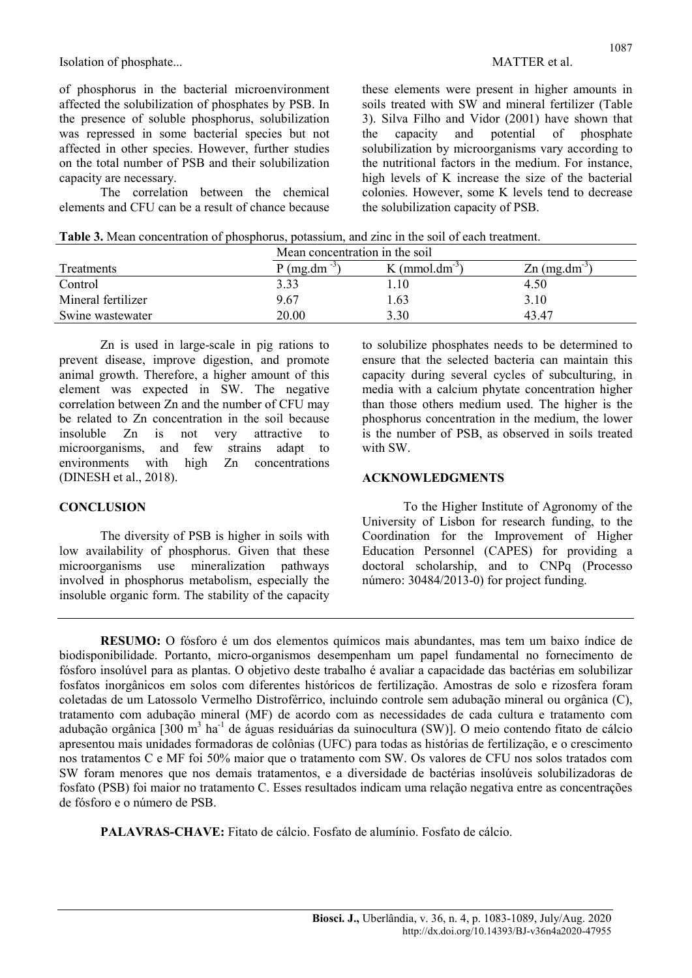Isolation of phosphate... Solation of phosphate...

of phosphorus in the bacterial microenvironment affected the solubilization of phosphates by PSB. In the presence of soluble phosphorus, solubilization was repressed in some bacterial species but not affected in other species. However, further studies on the total number of PSB and their solubilization capacity are necessary.

The correlation between the chemical elements and CFU can be a result of chance because

these elements were present in higher amounts in soils treated with SW and mineral fertilizer (Table 3). Silva Filho and Vidor (2001) have shown that the capacity and potential of phosphate solubilization by microorganisms vary according to the nutritional factors in the medium. For instance, high levels of K increase the size of the bacterial colonies. However, some K levels tend to decrease the solubilization capacity of PSB.

| Table 3. Mean concentration of phosphorus, potassium, and zinc in the soil of each treatment. |  |  |  |  |  |
|-----------------------------------------------------------------------------------------------|--|--|--|--|--|
|-----------------------------------------------------------------------------------------------|--|--|--|--|--|

|                    | Mean concentration in the soil |                            |                             |  |  |  |
|--------------------|--------------------------------|----------------------------|-----------------------------|--|--|--|
| Treatments         | $P$ (mg.dm <sup>-3</sup> )     | K (mmol.dm <sup>-3</sup> ) | $Zn$ (mg.dm <sup>-3</sup> ) |  |  |  |
| Control            | 3.33                           | 1.10                       | 4.50                        |  |  |  |
| Mineral fertilizer | 9.67                           | . 63                       | 3.10                        |  |  |  |
| Swine wastewater   | 20.00                          | 3.30                       | 43.47                       |  |  |  |

Zn is used in large-scale in pig rations to prevent disease, improve digestion, and promote animal growth. Therefore, a higher amount of this element was expected in SW. The negative correlation between Zn and the number of CFU may be related to Zn concentration in the soil because insoluble Zn is not very attractive to microorganisms, and few strains adapt to environments with high Zn concentrations (DINESH et al., 2018).

### **CONCLUSION**

The diversity of PSB is higher in soils with low availability of phosphorus. Given that these microorganisms use mineralization pathways involved in phosphorus metabolism, especially the insoluble organic form. The stability of the capacity to solubilize phosphates needs to be determined to ensure that the selected bacteria can maintain this capacity during several cycles of subculturing, in media with a calcium phytate concentration higher than those others medium used. The higher is the phosphorus concentration in the medium, the lower is the number of PSB, as observed in soils treated with SW.

#### ACKNOWLEDGMENTS

To the Higher Institute of Agronomy of the University of Lisbon for research funding, to the Coordination for the Improvement of Higher Education Personnel (CAPES) for providing a doctoral scholarship, and to CNPq (Processo número: 30484/2013-0) for project funding.

RESUMO: O fósforo é um dos elementos químicos mais abundantes, mas tem um baixo índice de biodisponibilidade. Portanto, micro-organismos desempenham um papel fundamental no fornecimento de fósforo insolúvel para as plantas. O objetivo deste trabalho é avaliar a capacidade das bactérias em solubilizar fosfatos inorgânicos em solos com diferentes históricos de fertilização. Amostras de solo e rizosfera foram coletadas de um Latossolo Vermelho Distroférrico, incluindo controle sem adubação mineral ou orgânica (C), tratamento com adubação mineral (MF) de acordo com as necessidades de cada cultura e tratamento com adubação orgânica [300 m<sup>3</sup> ha<sup>-1</sup> de águas residuárias da suinocultura (SW)]. O meio contendo fitato de cálcio apresentou mais unidades formadoras de colônias (UFC) para todas as histórias de fertilização, e o crescimento nos tratamentos C e MF foi 50% maior que o tratamento com SW. Os valores de CFU nos solos tratados com SW foram menores que nos demais tratamentos, e a diversidade de bactérias insolúveis solubilizadoras de fosfato (PSB) foi maior no tratamento C. Esses resultados indicam uma relação negativa entre as concentrações de fósforo e o número de PSB.

PALAVRAS-CHAVE: Fitato de cálcio. Fosfato de alumínio. Fosfato de cálcio.

http://dx.doi.org/10.14393/BJ-v36n4a2020-47955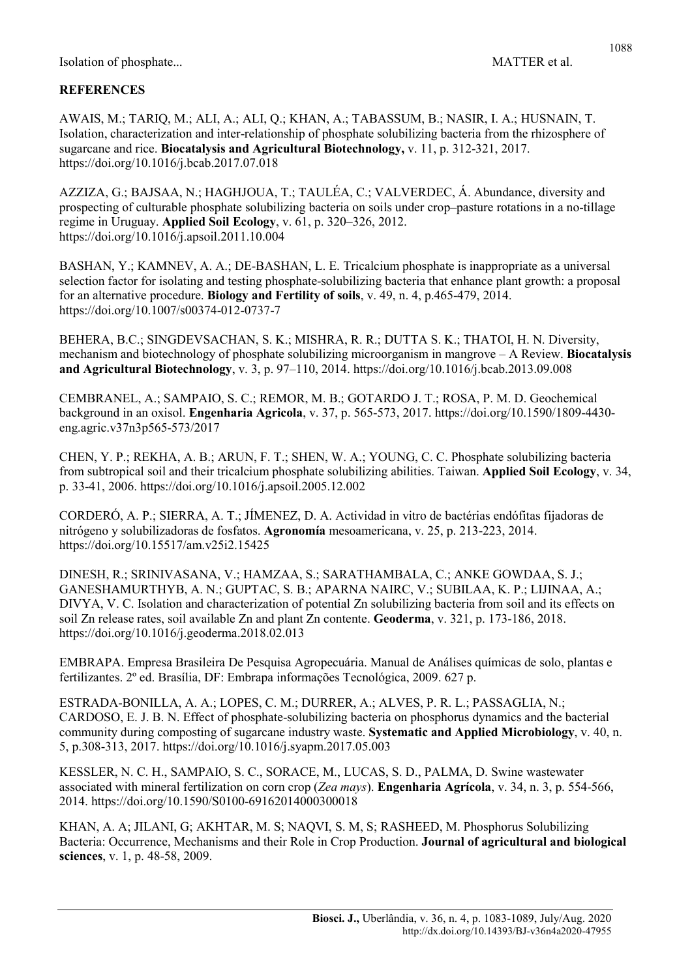#### 1088

# **REFERENCES**

AWAIS, M.; TARIQ, M.; ALI, A.; ALI, Q.; KHAN, A.; TABASSUM, B.; NASIR, I. A.; HUSNAIN, T. Isolation, characterization and inter-relationship of phosphate solubilizing bacteria from the rhizosphere of sugarcane and rice. Biocatalysis and Agricultural Biotechnology, v. 11, p. 312-321, 2017. https://doi.org/10.1016/j.bcab.2017.07.018

AZZIZA, G.; BAJSAA, N.; HAGHJOUA, T.; TAULÉA, C.; VALVERDEC, Á. Abundance, diversity and prospecting of culturable phosphate solubilizing bacteria on soils under crop–pasture rotations in a no-tillage regime in Uruguay. Applied Soil Ecology, v. 61, p. 320–326, 2012. https://doi.org/10.1016/j.apsoil.2011.10.004

BASHAN, Y.; KAMNEV, A. A.; DE-BASHAN, L. E. Tricalcium phosphate is inappropriate as a universal selection factor for isolating and testing phosphate-solubilizing bacteria that enhance plant growth: a proposal for an alternative procedure. Biology and Fertility of soils, v. 49, n. 4, p.465-479, 2014. https://doi.org/10.1007/s00374-012-0737-7

BEHERA, B.C.; SINGDEVSACHAN, S. K.; MISHRA, R. R.; DUTTA S. K.; THATOI, H. N. Diversity, mechanism and biotechnology of phosphate solubilizing microorganism in mangrove – A Review. Biocatalysis and Agricultural Biotechnology, v. 3, p. 97–110, 2014. https://doi.org/10.1016/j.bcab.2013.09.008

CEMBRANEL, A.; SAMPAIO, S. C.; REMOR, M. B.; GOTARDO J. T.; ROSA, P. M. D. Geochemical background in an oxisol. Engenharia Agricola, v. 37, p. 565-573, 2017. https://doi.org/10.1590/1809-4430 eng.agric.v37n3p565-573/2017

CHEN, Y. P.; REKHA, A. B.; ARUN, F. T.; SHEN, W. A.; YOUNG, C. C. Phosphate solubilizing bacteria from subtropical soil and their tricalcium phosphate solubilizing abilities. Taiwan. Applied Soil Ecology, v. 34, p. 33-41, 2006. https://doi.org/10.1016/j.apsoil.2005.12.002

CORDERÓ, A. P.; SIERRA, A. T.; JÍMENEZ, D. A. Actividad in vitro de bactérias endófitas fijadoras de nitrógeno y solubilizadoras de fosfatos. Agronomía mesoamericana, v. 25, p. 213-223, 2014. https://doi.org/10.15517/am.v25i2.15425

DINESH, R.; SRINIVASANA, V.; HAMZAA, S.; SARATHAMBALA, C.; ANKE GOWDAA, S. J.; GANESHAMURTHYB, A. N.; GUPTAC, S. B.; APARNA NAIRC, V.; SUBILAA, K. P.; LIJINAA, A.; DIVYA, V. C. Isolation and characterization of potential Zn solubilizing bacteria from soil and its effects on soil Zn release rates, soil available Zn and plant Zn contente. Geoderma, v. 321, p. 173-186, 2018. https://doi.org/10.1016/j.geoderma.2018.02.013

EMBRAPA. Empresa Brasileira De Pesquisa Agropecuária. Manual de Análises químicas de solo, plantas e fertilizantes. 2º ed. Brasília, DF: Embrapa informações Tecnológica, 2009. 627 p.

ESTRADA-BONILLA, A. A.; LOPES, C. M.; DURRER, A.; ALVES, P. R. L.; PASSAGLIA, N.; CARDOSO, E. J. B. N. Effect of phosphate-solubilizing bacteria on phosphorus dynamics and the bacterial community during composting of sugarcane industry waste. Systematic and Applied Microbiology, v. 40, n. 5, p.308-313, 2017. https://doi.org/10.1016/j.syapm.2017.05.003

KESSLER, N. C. H., SAMPAIO, S. C., SORACE, M., LUCAS, S. D., PALMA, D. Swine wastewater associated with mineral fertilization on corn crop (Zea mays). **Engenharia Agrícola**, v. 34, n. 3, p. 554-566, 2014. https://doi.org/10.1590/S0100-69162014000300018

KHAN, A. A; JILANI, G; AKHTAR, M. S; NAQVI, S. M, S; RASHEED, M. Phosphorus Solubilizing Bacteria: Occurrence, Mechanisms and their Role in Crop Production. Journal of agricultural and biological sciences, v. 1, p. 48-58, 2009.